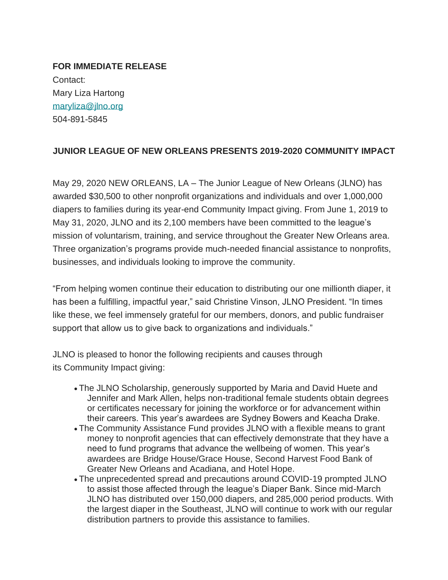**FOR IMMEDIATE RELEASE** Contact: Mary Liza Hartong [maryliza@jlno.org](mailto:maryliza@jlno.org) 504-891-5845

## **JUNIOR LEAGUE OF NEW ORLEANS PRESENTS 2019-2020 COMMUNITY IMPACT**

May 29, 2020 NEW ORLEANS, LA – The Junior League of New Orleans (JLNO) has awarded \$30,500 to other nonprofit organizations and individuals and over 1,000,000 diapers to families during its year-end Community Impact giving. From June 1, 2019 to May 31, 2020, JLNO and its 2,100 members have been committed to the league's mission of voluntarism, training, and service throughout the Greater New Orleans area. Three organization's programs provide much-needed financial assistance to nonprofits, businesses, and individuals looking to improve the community.

"From helping women continue their education to distributing our one millionth diaper, it has been a fulfilling, impactful year," said Christine Vinson, JLNO President. "In times like these, we feel immensely grateful for our members, donors, and public fundraiser support that allow us to give back to organizations and individuals."

JLNO is pleased to honor the following recipients and causes through its Community Impact giving:

- The JLNO Scholarship, generously supported by Maria and David Huete and Jennifer and Mark Allen, helps non-traditional female students obtain degrees or certificates necessary for joining the workforce or for advancement within their careers. This year's awardees are Sydney Bowers and Keacha Drake.
- The Community Assistance Fund provides JLNO with a flexible means to grant money to nonprofit agencies that can effectively demonstrate that they have a need to fund programs that advance the wellbeing of women. This year's awardees are Bridge House/Grace House, Second Harvest Food Bank of Greater New Orleans and Acadiana, and Hotel Hope.
- The unprecedented spread and precautions around COVID-19 prompted JLNO to assist those affected through the league's Diaper Bank. Since mid-March JLNO has distributed over 150,000 diapers, and 285,000 period products. With the largest diaper in the Southeast, JLNO will continue to work with our regular distribution partners to provide this assistance to families.